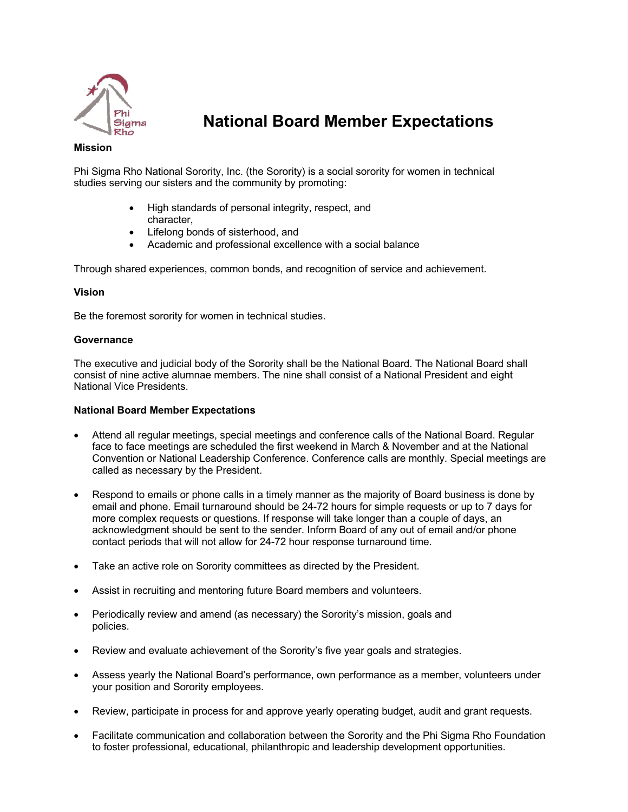

# **National Board Member Expectations**

## **Mission**

Phi Sigma Rho National Sorority, Inc. (the Sorority) is a social sorority for women in technical studies serving our sisters and the community by promoting:

- High standards of personal integrity, respect, and character,
- Lifelong bonds of sisterhood, and
- Academic and professional excellence with a social balance

Through shared experiences, common bonds, and recognition of service and achievement.

## **Vision**

Be the foremost sorority for women in technical studies.

## **Governance**

The executive and judicial body of the Sorority shall be the National Board. The National Board shall consist of nine active alumnae members. The nine shall consist of a National President and eight National Vice Presidents.

## **National Board Member Expectations**

- Attend all regular meetings, special meetings and conference calls of the National Board. Regular face to face meetings are scheduled the first weekend in March & November and at the National Convention or National Leadership Conference. Conference calls are monthly. Special meetings are called as necessary by the President.
- Respond to emails or phone calls in a timely manner as the majority of Board business is done by email and phone. Email turnaround should be 24-72 hours for simple requests or up to 7 days for more complex requests or questions. If response will take longer than a couple of days, an acknowledgment should be sent to the sender. Inform Board of any out of email and/or phone contact periods that will not allow for 24-72 hour response turnaround time.
- Take an active role on Sorority committees as directed by the President.
- Assist in recruiting and mentoring future Board members and volunteers.
- Periodically review and amend (as necessary) the Sorority's mission, goals and policies.
- Review and evaluate achievement of the Sorority's five year goals and strategies.
- Assess yearly the National Board's performance, own performance as a member, volunteers under your position and Sorority employees.
- Review, participate in process for and approve yearly operating budget, audit and grant requests.
- Facilitate communication and collaboration between the Sorority and the Phi Sigma Rho Foundation to foster professional, educational, philanthropic and leadership development opportunities.